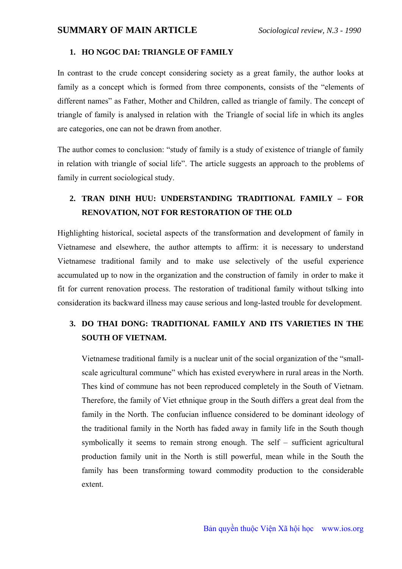#### **1. HO NGOC DAI: TRIANGLE OF FAMILY**

In contrast to the crude concept considering society as a great family, the author looks at family as a concept which is formed from three components, consists of the "elements of different names" as Father, Mother and Children, called as triangle of family. The concept of triangle of family is analysed in relation with the Triangle of social life in which its angles are categories, one can not be drawn from another.

The author comes to conclusion: "study of family is a study of existence of triangle of family in relation with triangle of social life". The article suggests an approach to the problems of family in current sociological study.

### **2. TRAN DINH HUU: UNDERSTANDING TRADITIONAL FAMILY – FOR RENOVATION, NOT FOR RESTORATION OF THE OLD**

Highlighting historical, societal aspects of the transformation and development of family in Vietnamese and elsewhere, the author attempts to affirm: it is necessary to understand Vietnamese traditional family and to make use selectively of the useful experience accumulated up to now in the organization and the construction of family in order to make it fit for current renovation process. The restoration of traditional family without tslking into consideration its backward illness may cause serious and long-lasted trouble for development.

### **3. DO THAI DONG: TRADITIONAL FAMILY AND ITS VARIETIES IN THE SOUTH OF VIETNAM.**

Vietnamese traditional family is a nuclear unit of the social organization of the "smallscale agricultural commune" which has existed everywhere in rural areas in the North. Thes kind of commune has not been reproduced completely in the South of Vietnam. Therefore, the family of Viet ethnique group in the South differs a great deal from the family in the North. The confucian influence considered to be dominant ideology of the traditional family in the North has faded away in family life in the South though symbolically it seems to remain strong enough. The self – sufficient agricultural production family unit in the North is still powerful, mean while in the South the family has been transforming toward commodity production to the considerable extent.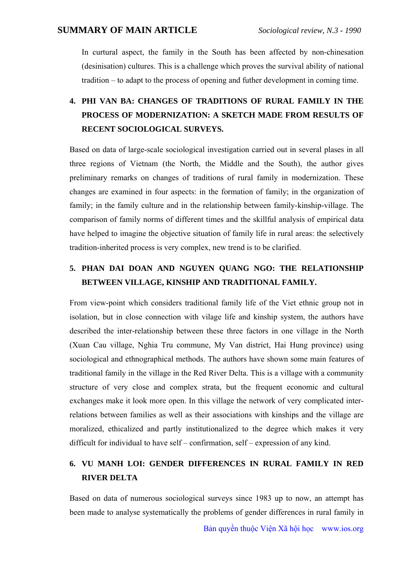In curtural aspect, the family in the South has been affected by non-chinesation (desinisation) cultures. This is a challenge which proves the survival ability of national tradition – to adapt to the process of opening and futher development in coming time.

# **4. PHI VAN BA: CHANGES OF TRADITIONS OF RURAL FAMILY IN THE PROCESS OF MODERNIZATION: A SKETCH MADE FROM RESULTS OF RECENT SOCIOLOGICAL SURVEYS.**

Based on data of large-scale sociological investigation carried out in several plases in all three regions of Vietnam (the North, the Middle and the South), the author gives preliminary remarks on changes of traditions of rural family in modernization. These changes are examined in four aspects: in the formation of family; in the organization of family; in the family culture and in the relationship between family-kinship-village. The comparison of family norms of different times and the skillful analysis of empirical data have helped to imagine the objective situation of family life in rural areas: the selectively tradition-inherited process is very complex, new trend is to be clarified.

## **5. PHAN DAI DOAN AND NGUYEN QUANG NGO: THE RELATIONSHIP BETWEEN VILLAGE, KINSHIP AND TRADITIONAL FAMILY.**

From view-point which considers traditional family life of the Viet ethnic group not in isolation, but in close connection with vilage life and kinship system, the authors have described the inter-relationship between these three factors in one village in the North (Xuan Cau village, Nghia Tru commune, My Van district, Hai Hung province) using sociological and ethnographical methods. The authors have shown some main features of traditional family in the village in the Red River Delta. This is a village with a community structure of very close and complex strata, but the frequent economic and cultural exchanges make it look more open. In this village the network of very complicated interrelations between families as well as their associations with kinships and the village are moralized, ethicalized and partly institutionalized to the degree which makes it very difficult for individual to have self – confirmation, self – expression of any kind.

## **6. VU MANH LOI: GENDER DIFFERENCES IN RURAL FAMILY IN RED RIVER DELTA**

Based on data of numerous sociological surveys since 1983 up to now, an attempt has been made to analyse systematically the problems of gender differences in rural family in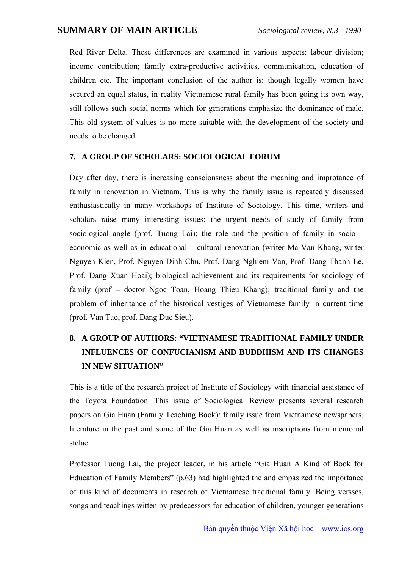Red River Delta. These differences are examined in various aspects: labour division; income contribution; family extra-productive activities, communication, education of children etc. The important conclusion of the author is: though legally women have secured an equal status, in reality Vietnamese rural family has been going its own way, still follows such social norms which for generations emphasize the dominance of male. This old system of values is no more suitable with the development of the society and needs to be changed.

#### **7. A GROUP OF SCHOLARS: SOCIOLOGICAL FORUM**

Day after day, there is increasing conscionsness about the meaning and improtance of family in renovation in Vietnam. This is why the family issue is repeatedly discussed enthusiastically in many workshops of Institute of Sociology. This time, writers and scholars raise many interesting issues: the urgent needs of study of family from sociological angle (prof. Tuong Lai); the role and the position of family in socio – economic as well as in educational – cultural renovation (writer Ma Van Khang, writer Nguyen Kien, Prof. Nguyen Dinh Chu, Prof. Dang Nghiem Van, Prof. Dang Thanh Le, Prof. Dang Xuan Hoai); biological achievement and its requirements for sociology of family (prof – doctor Ngoc Toan, Hoang Thieu Khang); traditional family and the problem of inheritance of the historical vestiges of Vietnamese family in current time (prof. Van Tao, prof. Dang Duc Sieu).

# **8. A GROUP OF AUTHORS: "VIETNAMESE TRADITIONAL FAMILY UNDER INFLUENCES OF CONFUCIANISM AND BUDDHISM AND ITS CHANGES IN NEW SITUATION"**

This is a title of the research project of Institute of Sociology with financial assistance of the Toyota Foundation. This issue of Sociological Review presents several research papers on Gia Huan (Family Teaching Book); family issue from Vietnamese newspapers, literature in the past and some of the Gia Huan as well as inscriptions from memorial stelae.

Professor Tuong Lai, the project leader, in his article "Gia Huan A Kind of Book for Education of Family Members" (p.63) had highlighted the and empasized the importance of this kind of documents in research of Vietnamese traditional family. Being versses, songs and teachings witten by predecessors for education of children, younger generations